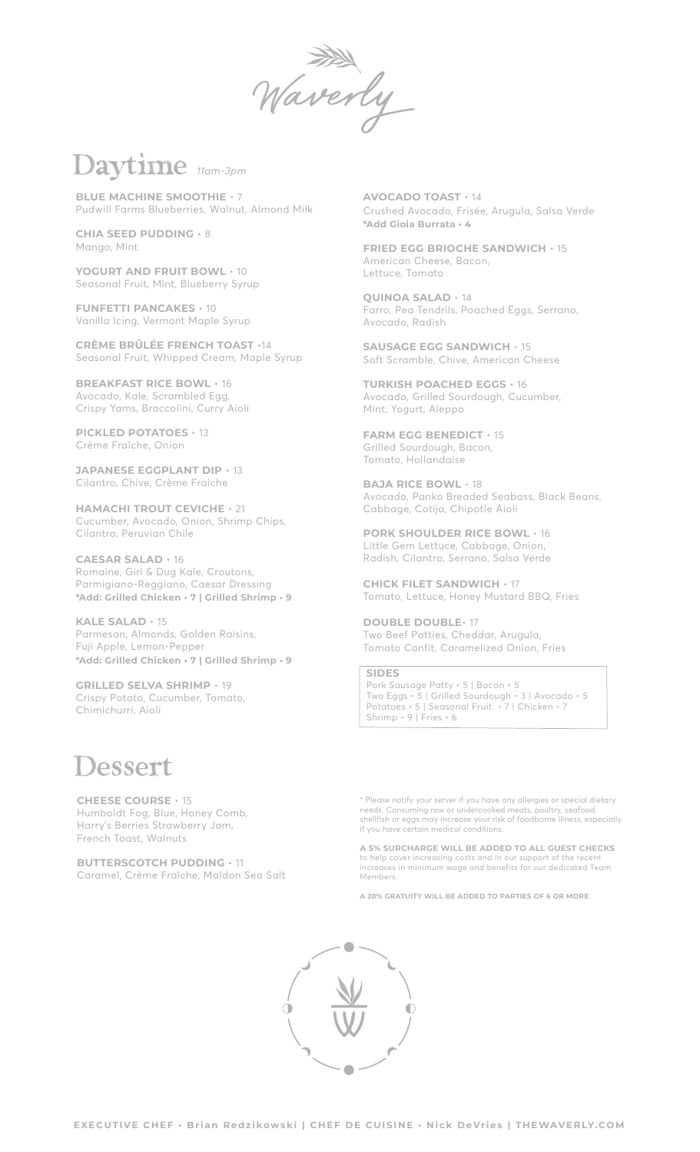averly

## *Daytime* 11am-3pm

**BLUE MACHINE SMOOTHIE** • 7 Pudwill Farms Blueberries, Walnut, Almond Milk

**CHIA SEED PUDDING** • 8 Mango, Mint

**YOGURT AND FRUIT BOWL** • 10 Seasonal Fruit, Mint, Blueberry Syrup

**FUNFETTI PANCAKES** • 10 Vanilla Icing, Vermont Maple Syrup

**CRÈME BRÛLÉE FRENCH TOAST** •14 Seasonal Fruit, Whipped Cream, Maple Syrup

**BREAKFAST RICE BOWL** • 16 Avocado, Kale, Scrambled Egg, Crispy Yams, Broccolini, Curry Aioli

**PICKLED POTATOES** • 13 Crème Fraîche, Onion

**JAPANESE EGGPLANT DIP** • 13 Cilantro, Chive, Crème Fraîche

**HAMACHI TROUT CEVICHE** • 21 Cucumber, Avocado, Onion, Shrimp Chips, Cilantro, Peruvian Chile

**CAESAR SALAD** • 16 Romaine, Girl & Dug Kale, Croutons, Parmigiano-Reggiano, Caesar Dressing **\*Add: Grilled Chicken • 7 | Grilled Shrimp • 9** 

**KALE SALAD** • 15 Parmesan, Almonds, Golden Raisins, Fuji Apple, Lemon-Pepper **\*Add: Grilled Chicken • 7 | Grilled Shrimp • 9** 

**GRILLED SELVA SHRIMP** • 19 Crispy Potato, Cucumber, Tomato, Chimichurri, Aioli

## *Dessert*

**CHEESE COURSE** • 15 Humboldt Fog, Blue, Honey Comb, Harry's Berries Strawberry Jam, French Toast, Walnuts

**BUTTERSCOTCH PUDDING** • 11 Caramel, Crème Fraîche, Maldon Sea Salt

**AVOCADO TOAST** • 14 Crushed Avocado, Frisée, Arugula, Salsa Verde **\*Add Gioia Burrata • 4**

**FRIED EGG BRIOCHE SANDWICH** • 15 American Cheese, Bacon, Lettuce, Tomato

**QUINOA SALAD** • 14 Farro, Pea Tendrils, Poached Eggs, Serrano, Avocado, Radish

**SAUSAGE EGG SANDWICH** • 15 Soft Scramble, Chive, American Cheese

**TURKISH POACHED EGGS** • 16 Avocado, Grilled Sourdough, Cucumber, Mint, Yogurt, Aleppo

**FARM EGG BENEDICT** • 15 Grilled Sourdough, Bacon, Tomato, Hollandaise

**BAJA RICE BOWL** • 18 Avocado, Panko Breaded Seabass, Black Beans, Cabbage, Cotija, Chipotle Aioli

**PORK SHOULDER RICE BOWL** • 16 Little Gem Lettuce, Cabbage, Onion, Radish, Cilantro, Serrano, Salsa Verde

**CHICK FILET SANDWICH** • 17 Tomato, Lettuce, Honey Mustard BBQ, Fries

**DOUBLE DOUBLE**• 17 Two Beef Patties, Cheddar, Arugula, Tomato Confit, Caramelized Onion, Fries

**SIDES** Pork Sausage Patty • 5 | Bacon • 5 Two Eggs • 5 | Grilled Sourdough • 3 | Avocado • 5 Potatoes • 5 | Seasonal Fruit • 7 | Chicken • 7 Shrimp • 9 | Fries • 6

\* Please notify your server if you have any allergies or special dietary needs. Consuming raw or undercooked meats, poultry, seafood, shellfish or eggs may increase your risk of foodborne illness, especially if you have certain medical conditions.

**A 5% SURCHARGE WILL BE ADDED TO ALL GUEST CHECKS** to help cover increasing costs and in our support of the recent increases in minimum wage and benefits for our dedicated Team Members.

**A 20% GRATUITY WILL BE ADDED TO PARTIES OF 6 OR MORE**